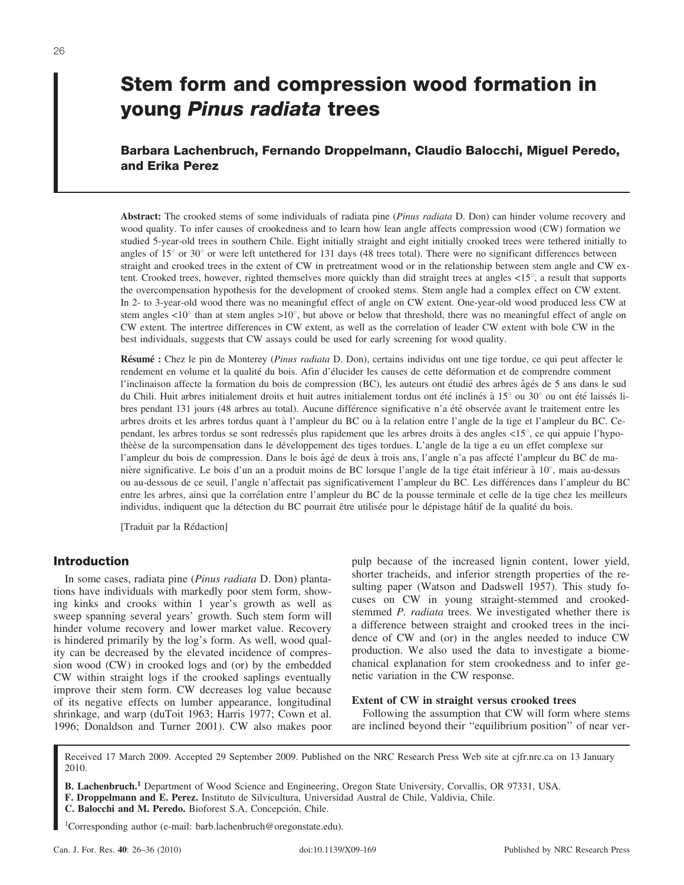# **Stem form and compression wood formation in young** *Pinus radiata* **trees**

**Barbara Lachenbruch, Fernando Droppelmann, Claudio Balocchi, Miguel Peredo, and Erika Perez**

**Abstract:** The crooked stems of some individuals of radiata pine (*Pinus radiata* D. Don) can hinder volume recovery and wood quality. To infer causes of crookedness and to learn how lean angle affects compression wood (CW) formation we studied 5-year-old trees in southern Chile. Eight initially straight and eight initially crooked trees were tethered initially to angles of  $15^{\circ}$  or 30° or were left untethered for 131 days (48 trees total). There were no significant differences between straight and crooked trees in the extent of CW in pretreatment wood or in the relationship between stem angle and CW extent. Crooked trees, however, righted themselves more quickly than did straight trees at angles  $\langle 15^\circ \rangle$ , a result that supports the overcompensation hypothesis for the development of crooked stems. Stem angle had a complex effect on CW extent. In 2- to 3-year-old wood there was no meaningful effect of angle on CW extent. One-year-old wood produced less CW at stem angles  $\langle 10^\circ$  than at stem angles  $>10^\circ$ , but above or below that threshold, there was no meaningful effect of angle on CW extent. The intertree differences in CW extent, as well as the correlation of leader CW extent with bole CW in the best individuals, suggests that CW assays could be used for early screening for wood quality.

**Résumé** : Chez le pin de Monterey (*Pinus radiata* D. Don), certains individus ont une tige tordue, ce qui peut affecter le rendement en volume et la qualité du bois. Afin d'élucider les causes de cette déformation et de comprendre comment l'inclinaison affecte la formation du bois de compression (BC), les auteurs ont étudié des arbres âgés de 5 ans dans le sud du Chili. Huit arbres initialement droits et huit autres initialement tordus ont été inclinés à 15° ou 30° ou ont été laissés libres pendant 131 jours (48 arbres au total). Aucune différence significative n'a été observée avant le traitement entre les arbres droits et les arbres tordus quant a` l'ampleur du BC ou a` la relation entre l'angle de la tige et l'ampleur du BC. Cependant, les arbres tordus se sont redressés plus rapidement que les arbres droits à des angles  $\langle 15^\circ,$  ce qui appuie l'hypothèèse de la surcompensation dans le développement des tiges tordues. L'angle de la tige a eu un effet complexe sur l'ampleur du bois de compression. Dans le bois âgé de deux à trois ans, l'angle n'a pas affecté l'ampleur du BC de manière significative. Le bois d'un an a produit moins de BC lorsque l'angle de la tige était inférieur à  $10^{\circ}$ , mais au-dessus ou au-dessous de ce seuil, l'angle n'affectait pas significativement l'ampleur du BC. Les diffe´rences dans l'ampleur du BC entre les arbres, ainsi que la corrélation entre l'ampleur du BC de la pousse terminale et celle de la tige chez les meilleurs individus, indiquent que la détection du BC pourrait être utilisée pour le dépistage hâtif de la qualité du bois.

[Traduit par la Rédaction]

# **Introduction**

In some cases, radiata pine (*Pinus radiata* D. Don) plantations have individuals with markedly poor stem form, showing kinks and crooks within 1 year's growth as well as sweep spanning several years' growth. Such stem form will hinder volume recovery and lower market value. Recovery is hindered primarily by the log's form. As well, wood quality can be decreased by the elevated incidence of compression wood (CW) in crooked logs and (or) by the embedded CW within straight logs if the crooked saplings eventually improve their stem form. CW decreases log value because of its negative effects on lumber appearance, longitudinal shrinkage, and warp (duToit 1963; Harris 1977; Cown et al. 1996; Donaldson and Turner 2001). CW also makes poor pulp because of the increased lignin content, lower yield, shorter tracheids, and inferior strength properties of the resulting paper (Watson and Dadswell 1957). This study focuses on CW in young straight-stemmed and crookedstemmed *P. radiata* trees. We investigated whether there is a difference between straight and crooked trees in the incidence of CW and (or) in the angles needed to induce CW production. We also used the data to investigate a biomechanical explanation for stem crookedness and to infer genetic variation in the CW response.

## **Extent of CW in straight versus crooked trees**

Following the assumption that CW will form where stems are inclined beyond their ''equilibrium position'' of near ver-

Received 17 March 2009. Accepted 29 September 2009. Published on the NRC Research Press Web site at cjfr.nrc.ca on 13 January 2010.

**B. Lachenbruch.1** Department of Wood Science and Engineering, Oregon State University, Corvallis, OR 97331, USA.

- **F. Droppelmann and E. Perez.** Instituto de Silvicultura, Universidad Austral de Chile, Valdivia, Chile.
- C. Balocchi and M. Peredo. Bioforest S.A, Concepción, Chile.

1Corresponding author (e-mail: barb.lachenbruch@oregonstate.edu).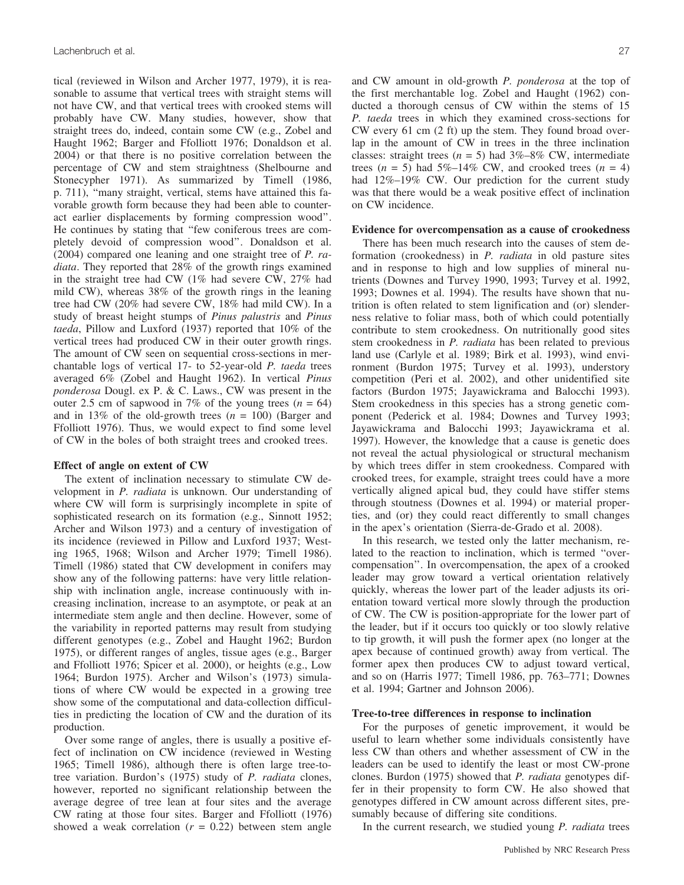tical (reviewed in Wilson and Archer 1977, 1979), it is reasonable to assume that vertical trees with straight stems will not have CW, and that vertical trees with crooked stems will probably have CW. Many studies, however, show that straight trees do, indeed, contain some CW (e.g., Zobel and Haught 1962; Barger and Ffolliott 1976; Donaldson et al. 2004) or that there is no positive correlation between the percentage of CW and stem straightness (Shelbourne and Stonecypher 1971). As summarized by Timell (1986, p. 711), ''many straight, vertical, stems have attained this favorable growth form because they had been able to counteract earlier displacements by forming compression wood''. He continues by stating that ''few coniferous trees are completely devoid of compression wood''. Donaldson et al. (2004) compared one leaning and one straight tree of *P. radiata*. They reported that 28% of the growth rings examined in the straight tree had CW (1% had severe CW, 27% had mild CW), whereas 38% of the growth rings in the leaning tree had CW (20% had severe CW, 18% had mild CW). In a study of breast height stumps of *Pinus palustris* and *Pinus taeda*, Pillow and Luxford (1937) reported that 10% of the vertical trees had produced CW in their outer growth rings. The amount of CW seen on sequential cross-sections in merchantable logs of vertical 17- to 52-year-old *P. taeda* trees averaged 6% (Zobel and Haught 1962). In vertical *Pinus ponderosa* Dougl. ex P. & C. Laws., CW was present in the outer 2.5 cm of sapwood in 7% of the young trees  $(n = 64)$ and in 13% of the old-growth trees  $(n = 100)$  (Barger and Ffolliott 1976). Thus, we would expect to find some level of CW in the boles of both straight trees and crooked trees.

#### **Effect of angle on extent of CW**

The extent of inclination necessary to stimulate CW development in *P. radiata* is unknown. Our understanding of where CW will form is surprisingly incomplete in spite of sophisticated research on its formation (e.g., Sinnott 1952; Archer and Wilson 1973) and a century of investigation of its incidence (reviewed in Pillow and Luxford 1937; Westing 1965, 1968; Wilson and Archer 1979; Timell 1986). Timell (1986) stated that CW development in conifers may show any of the following patterns: have very little relationship with inclination angle, increase continuously with increasing inclination, increase to an asymptote, or peak at an intermediate stem angle and then decline. However, some of the variability in reported patterns may result from studying different genotypes (e.g., Zobel and Haught 1962; Burdon 1975), or different ranges of angles, tissue ages (e.g., Barger and Ffolliott 1976; Spicer et al. 2000), or heights (e.g., Low 1964; Burdon 1975). Archer and Wilson's (1973) simulations of where CW would be expected in a growing tree show some of the computational and data-collection difficulties in predicting the location of CW and the duration of its production.

Over some range of angles, there is usually a positive effect of inclination on CW incidence (reviewed in Westing 1965; Timell 1986), although there is often large tree-totree variation. Burdon's (1975) study of *P. radiata* clones, however, reported no significant relationship between the average degree of tree lean at four sites and the average CW rating at those four sites. Barger and Ffolliott (1976) showed a weak correlation  $(r = 0.22)$  between stem angle and CW amount in old-growth *P. ponderosa* at the top of the first merchantable log. Zobel and Haught (1962) conducted a thorough census of CW within the stems of 15 *P. taeda* trees in which they examined cross-sections for CW every 61 cm (2 ft) up the stem. They found broad overlap in the amount of CW in trees in the three inclination classes: straight trees  $(n = 5)$  had  $3\% - 8\%$  CW, intermediate trees  $(n = 5)$  had  $5\% - 14\%$  CW, and crooked trees  $(n = 4)$ had 12%–19% CW. Our prediction for the current study was that there would be a weak positive effect of inclination on CW incidence.

#### **Evidence for overcompensation as a cause of crookedness**

There has been much research into the causes of stem deformation (crookedness) in *P. radiata* in old pasture sites and in response to high and low supplies of mineral nutrients (Downes and Turvey 1990, 1993; Turvey et al. 1992, 1993; Downes et al. 1994). The results have shown that nutrition is often related to stem lignification and (or) slenderness relative to foliar mass, both of which could potentially contribute to stem crookedness. On nutritionally good sites stem crookedness in *P. radiata* has been related to previous land use (Carlyle et al. 1989; Birk et al. 1993), wind environment (Burdon 1975; Turvey et al. 1993), understory competition (Peri et al. 2002), and other unidentified site factors (Burdon 1975; Jayawickrama and Balocchi 1993). Stem crookedness in this species has a strong genetic component (Pederick et al. 1984; Downes and Turvey 1993; Jayawickrama and Balocchi 1993; Jayawickrama et al. 1997). However, the knowledge that a cause is genetic does not reveal the actual physiological or structural mechanism by which trees differ in stem crookedness. Compared with crooked trees, for example, straight trees could have a more vertically aligned apical bud, they could have stiffer stems through stoutness (Downes et al. 1994) or material properties, and (or) they could react differently to small changes in the apex's orientation (Sierra-de-Grado et al. 2008).

In this research, we tested only the latter mechanism, related to the reaction to inclination, which is termed ''overcompensation''. In overcompensation, the apex of a crooked leader may grow toward a vertical orientation relatively quickly, whereas the lower part of the leader adjusts its orientation toward vertical more slowly through the production of CW. The CW is position-appropriate for the lower part of the leader, but if it occurs too quickly or too slowly relative to tip growth, it will push the former apex (no longer at the apex because of continued growth) away from vertical. The former apex then produces CW to adjust toward vertical, and so on (Harris 1977; Timell 1986, pp. 763–771; Downes et al. 1994; Gartner and Johnson 2006).

## **Tree-to-tree differences in response to inclination**

For the purposes of genetic improvement, it would be useful to learn whether some individuals consistently have less CW than others and whether assessment of CW in the leaders can be used to identify the least or most CW-prone clones. Burdon (1975) showed that *P. radiata* genotypes differ in their propensity to form CW. He also showed that genotypes differed in CW amount across different sites, presumably because of differing site conditions.

In the current research, we studied young *P. radiata* trees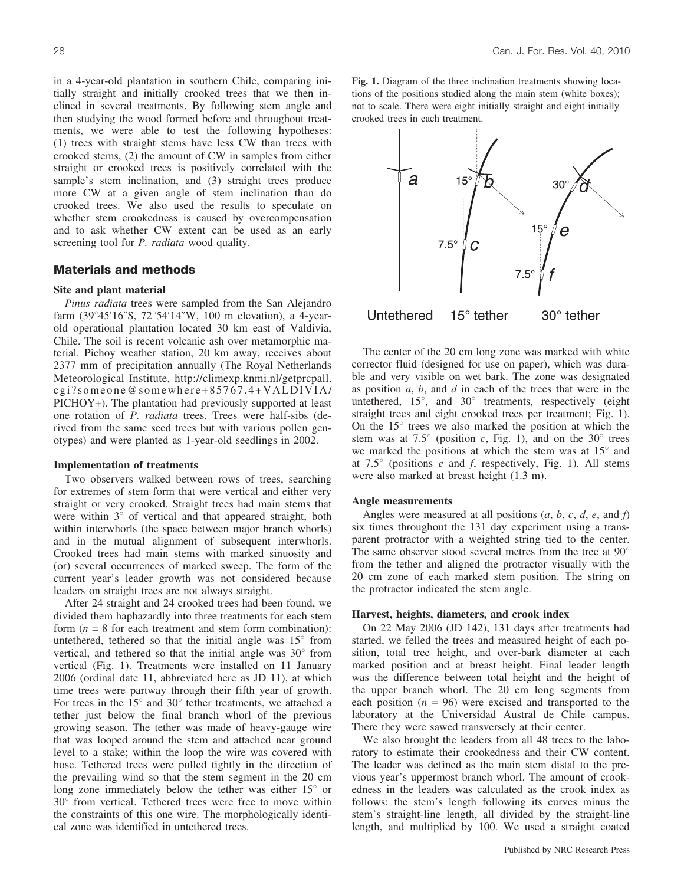in a 4-year-old plantation in southern Chile, comparing initially straight and initially crooked trees that we then inclined in several treatments. By following stem angle and then studying the wood formed before and throughout treatments, we were able to test the following hypotheses: (1) trees with straight stems have less CW than trees with crooked stems, (2) the amount of CW in samples from either straight or crooked trees is positively correlated with the sample's stem inclination, and (3) straight trees produce more CW at a given angle of stem inclination than do crooked trees. We also used the results to speculate on whether stem crookedness is caused by overcompensation and to ask whether CW extent can be used as an early screening tool for *P. radiata* wood quality.

# **Materials and methods**

## **Site and plant material**

*Pinus radiata* trees were sampled from the San Alejandro farm  $(39^{\circ}45'16''\text{S}, 72^{\circ}54'14''\text{W}, 100 \text{ m}$  elevation), a 4-yearold operational plantation located 30 km east of Valdivia, Chile. The soil is recent volcanic ash over metamorphic material. Pichoy weather station, 20 km away, receives about 2377 mm of precipitation annually (The Royal Netherlands Meteorological Institute, http://climexp.knmi.nl/getprcpall. cgi?someone@somewhere+85767.4+VALDIVIA/ PICHOY+). The plantation had previously supported at least one rotation of *P. radiata* trees. Trees were half-sibs (derived from the same seed trees but with various pollen genotypes) and were planted as 1-year-old seedlings in 2002.

## **Implementation of treatments**

Two observers walked between rows of trees, searching for extremes of stem form that were vertical and either very straight or very crooked. Straight trees had main stems that were within  $3^\circ$  of vertical and that appeared straight, both within interwhorls (the space between major branch whorls) and in the mutual alignment of subsequent interwhorls. Crooked trees had main stems with marked sinuosity and (or) several occurrences of marked sweep. The form of the current year's leader growth was not considered because leaders on straight trees are not always straight.

After 24 straight and 24 crooked trees had been found, we divided them haphazardly into three treatments for each stem form  $(n = 8)$  for each treatment and stem form combination): untethered, tethered so that the initial angle was  $15^{\circ}$  from vertical, and tethered so that the initial angle was  $30^{\circ}$  from vertical (Fig. 1). Treatments were installed on 11 January 2006 (ordinal date 11, abbreviated here as JD 11), at which time trees were partway through their fifth year of growth. For trees in the  $15^{\circ}$  and  $30^{\circ}$  tether treatments, we attached a tether just below the final branch whorl of the previous growing season. The tether was made of heavy-gauge wire that was looped around the stem and attached near ground level to a stake; within the loop the wire was covered with hose. Tethered trees were pulled tightly in the direction of the prevailing wind so that the stem segment in the 20 cm long zone immediately below the tether was either  $15^{\circ}$  or  $30^{\circ}$  from vertical. Tethered trees were free to move within the constraints of this one wire. The morphologically identical zone was identified in untethered trees.

**Fig. 1.** Diagram of the three inclination treatments showing locations of the positions studied along the main stem (white boxes); not to scale. There were eight initially straight and eight initially crooked trees in each treatment.



The center of the 20 cm long zone was marked with white corrector fluid (designed for use on paper), which was durable and very visible on wet bark. The zone was designated as position *a*, *b*, and *d* in each of the trees that were in the untethered,  $15^\circ$ , and  $30^\circ$  treatments, respectively (eight straight trees and eight crooked trees per treatment; Fig. 1). On the  $15^\circ$  trees we also marked the position at which the stem was at  $7.5^{\circ}$  (position *c*, Fig. 1), and on the  $30^{\circ}$  trees we marked the positions at which the stem was at  $15^{\circ}$  and at  $7.5^{\circ}$  (positions *e* and *f*, respectively, Fig. 1). All stems were also marked at breast height (1.3 m).

#### **Angle measurements**

Angles were measured at all positions (*a*, *b*, *c*, *d*, *e*, and *f*) six times throughout the 131 day experiment using a transparent protractor with a weighted string tied to the center. The same observer stood several metres from the tree at  $90^\circ$ from the tether and aligned the protractor visually with the 20 cm zone of each marked stem position. The string on the protractor indicated the stem angle.

## **Harvest, heights, diameters, and crook index**

On 22 May 2006 (JD 142), 131 days after treatments had started, we felled the trees and measured height of each position, total tree height, and over-bark diameter at each marked position and at breast height. Final leader length was the difference between total height and the height of the upper branch whorl. The 20 cm long segments from each position  $(n = 96)$  were excised and transported to the laboratory at the Universidad Austral de Chile campus. There they were sawed transversely at their center.

We also brought the leaders from all 48 trees to the laboratory to estimate their crookedness and their CW content. The leader was defined as the main stem distal to the previous year's uppermost branch whorl. The amount of crookedness in the leaders was calculated as the crook index as follows: the stem's length following its curves minus the stem's straight-line length, all divided by the straight-line length, and multiplied by 100. We used a straight coated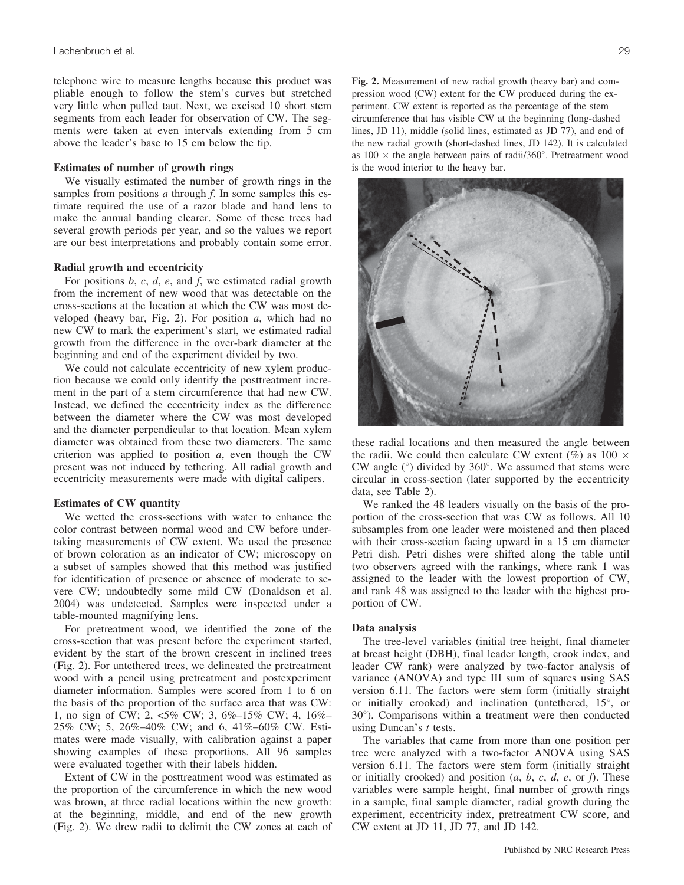telephone wire to measure lengths because this product was pliable enough to follow the stem's curves but stretched very little when pulled taut. Next, we excised 10 short stem segments from each leader for observation of CW. The segments were taken at even intervals extending from 5 cm above the leader's base to 15 cm below the tip.

#### **Estimates of number of growth rings**

We visually estimated the number of growth rings in the samples from positions *a* through *f*. In some samples this estimate required the use of a razor blade and hand lens to make the annual banding clearer. Some of these trees had several growth periods per year, and so the values we report are our best interpretations and probably contain some error.

#### **Radial growth and eccentricity**

For positions *b*, *c*, *d*, *e*, and *f*, we estimated radial growth from the increment of new wood that was detectable on the cross-sections at the location at which the CW was most developed (heavy bar, Fig. 2). For position *a*, which had no new CW to mark the experiment's start, we estimated radial growth from the difference in the over-bark diameter at the beginning and end of the experiment divided by two.

We could not calculate eccentricity of new xylem production because we could only identify the posttreatment increment in the part of a stem circumference that had new CW. Instead, we defined the eccentricity index as the difference between the diameter where the CW was most developed and the diameter perpendicular to that location. Mean xylem diameter was obtained from these two diameters. The same criterion was applied to position *a*, even though the CW present was not induced by tethering. All radial growth and eccentricity measurements were made with digital calipers.

#### **Estimates of CW quantity**

We wetted the cross-sections with water to enhance the color contrast between normal wood and CW before undertaking measurements of CW extent. We used the presence of brown coloration as an indicator of CW; microscopy on a subset of samples showed that this method was justified for identification of presence or absence of moderate to severe CW; undoubtedly some mild CW (Donaldson et al. 2004) was undetected. Samples were inspected under a table-mounted magnifying lens.

For pretreatment wood, we identified the zone of the cross-section that was present before the experiment started, evident by the start of the brown crescent in inclined trees (Fig. 2). For untethered trees, we delineated the pretreatment wood with a pencil using pretreatment and postexperiment diameter information. Samples were scored from 1 to 6 on the basis of the proportion of the surface area that was CW: 1, no sign of CW; 2, <5% CW; 3, 6%–15% CW; 4, 16%– 25% CW; 5, 26%–40% CW; and 6, 41%–60% CW. Estimates were made visually, with calibration against a paper showing examples of these proportions. All 96 samples were evaluated together with their labels hidden.

Extent of CW in the posttreatment wood was estimated as the proportion of the circumference in which the new wood was brown, at three radial locations within the new growth: at the beginning, middle, and end of the new growth (Fig. 2). We drew radii to delimit the CW zones at each of

**Fig. 2.** Measurement of new radial growth (heavy bar) and compression wood (CW) extent for the CW produced during the experiment. CW extent is reported as the percentage of the stem circumference that has visible CW at the beginning (long-dashed lines, JD 11), middle (solid lines, estimated as JD 77), and end of the new radial growth (short-dashed lines, JD 142). It is calculated as  $100 \times$  the angle between pairs of radii/360°. Pretreatment wood is the wood interior to the heavy bar.



these radial locations and then measured the angle between the radii. We could then calculate CW extent (%) as 100  $\times$ CW angle  $(°)$  divided by 360 $°$ . We assumed that stems were circular in cross-section (later supported by the eccentricity data, see Table 2).

We ranked the 48 leaders visually on the basis of the proportion of the cross-section that was CW as follows. All 10 subsamples from one leader were moistened and then placed with their cross-section facing upward in a 15 cm diameter Petri dish. Petri dishes were shifted along the table until two observers agreed with the rankings, where rank 1 was assigned to the leader with the lowest proportion of CW, and rank 48 was assigned to the leader with the highest proportion of CW.

## **Data analysis**

The tree-level variables (initial tree height, final diameter at breast height (DBH), final leader length, crook index, and leader CW rank) were analyzed by two-factor analysis of variance (ANOVA) and type III sum of squares using SAS version 6.11. The factors were stem form (initially straight or initially crooked) and inclination (untethered,  $15^{\circ}$ , or  $30^{\circ}$ ). Comparisons within a treatment were then conducted using Duncan's *t* tests.

The variables that came from more than one position per tree were analyzed with a two-factor ANOVA using SAS version 6.11. The factors were stem form (initially straight or initially crooked) and position (*a*, *b*, *c*, *d*, *e*, or *f*). These variables were sample height, final number of growth rings in a sample, final sample diameter, radial growth during the experiment, eccentricity index, pretreatment CW score, and CW extent at JD 11, JD 77, and JD 142.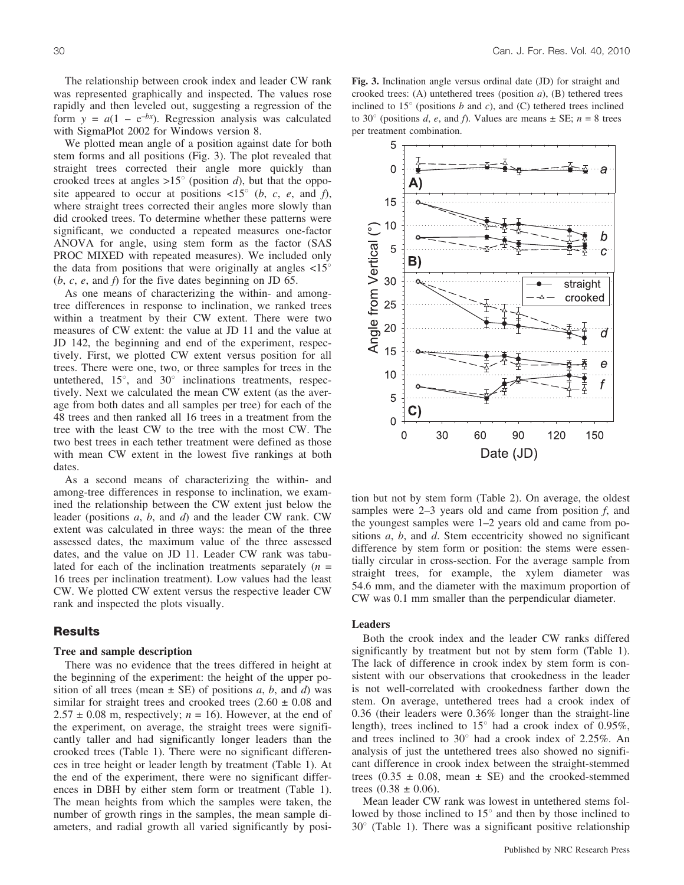The relationship between crook index and leader CW rank was represented graphically and inspected. The values rose rapidly and then leveled out, suggesting a regression of the form  $y = a(1 - e^{-bx})$ . Regression analysis was calculated with SigmaPlot 2002 for Windows version 8.

We plotted mean angle of a position against date for both stem forms and all positions (Fig. 3). The plot revealed that straight trees corrected their angle more quickly than crooked trees at angles  $>15^\circ$  (position *d*), but that the opposite appeared to occur at positions  $\langle 15^\circ \, (b, c, e, \text{ and } f) \rangle$ , where straight trees corrected their angles more slowly than did crooked trees. To determine whether these patterns were significant, we conducted a repeated measures one-factor ANOVA for angle, using stem form as the factor (SAS PROC MIXED with repeated measures). We included only the data from positions that were originally at angles  $\langle 15^\circ$ (*b*, *c*, *e*, and *f*) for the five dates beginning on JD 65.

As one means of characterizing the within- and amongtree differences in response to inclination, we ranked trees within a treatment by their CW extent. There were two measures of CW extent: the value at JD 11 and the value at JD 142, the beginning and end of the experiment, respectively. First, we plotted CW extent versus position for all trees. There were one, two, or three samples for trees in the untethered,  $15^\circ$ , and  $30^\circ$  inclinations treatments, respectively. Next we calculated the mean CW extent (as the average from both dates and all samples per tree) for each of the 48 trees and then ranked all 16 trees in a treatment from the tree with the least CW to the tree with the most CW. The two best trees in each tether treatment were defined as those with mean CW extent in the lowest five rankings at both dates.

As a second means of characterizing the within- and among-tree differences in response to inclination, we examined the relationship between the CW extent just below the leader (positions *a*, *b*, and *d*) and the leader CW rank. CW extent was calculated in three ways: the mean of the three assessed dates, the maximum value of the three assessed dates, and the value on JD 11. Leader CW rank was tabulated for each of the inclination treatments separately  $(n =$ 16 trees per inclination treatment). Low values had the least CW. We plotted CW extent versus the respective leader CW rank and inspected the plots visually.

## **Results**

## **Tree and sample description**

There was no evidence that the trees differed in height at the beginning of the experiment: the height of the upper position of all trees (mean  $\pm$  SE) of positions *a*, *b*, and *d*) was similar for straight trees and crooked trees  $(2.60 \pm 0.08)$  and  $2.57 \pm 0.08$  m, respectively;  $n = 16$ ). However, at the end of the experiment, on average, the straight trees were significantly taller and had significantly longer leaders than the crooked trees (Table 1). There were no significant differences in tree height or leader length by treatment (Table 1). At the end of the experiment, there were no significant differences in DBH by either stem form or treatment (Table 1). The mean heights from which the samples were taken, the number of growth rings in the samples, the mean sample diameters, and radial growth all varied significantly by posi-

**Fig. 3.** Inclination angle versus ordinal date (JD) for straight and crooked trees: (A) untethered trees (position *a*), (B) tethered trees inclined to  $15^{\circ}$  (positions *b* and *c*), and (C) tethered trees inclined to 30 $^{\circ}$  (positions *d*, *e*, and *f*). Values are means  $\pm$  SE; *n* = 8 trees per treatment combination.



tion but not by stem form (Table 2). On average, the oldest samples were 2–3 years old and came from position *f*, and the youngest samples were 1–2 years old and came from positions *a*, *b*, and *d*. Stem eccentricity showed no significant difference by stem form or position: the stems were essentially circular in cross-section. For the average sample from straight trees, for example, the xylem diameter was 54.6 mm, and the diameter with the maximum proportion of CW was 0.1 mm smaller than the perpendicular diameter.

#### **Leaders**

Both the crook index and the leader CW ranks differed significantly by treatment but not by stem form (Table 1). The lack of difference in crook index by stem form is consistent with our observations that crookedness in the leader is not well-correlated with crookedness farther down the stem. On average, untethered trees had a crook index of 0.36 (their leaders were 0.36% longer than the straight-line length), trees inclined to  $15^{\circ}$  had a crook index of 0.95%, and trees inclined to  $30^{\circ}$  had a crook index of 2.25%. An analysis of just the untethered trees also showed no significant difference in crook index between the straight-stemmed trees  $(0.35 \pm 0.08, \text{ mean } \pm \text{ SE})$  and the crooked-stemmed trees  $(0.38 \pm 0.06)$ .

Mean leader CW rank was lowest in untethered stems followed by those inclined to  $15^{\circ}$  and then by those inclined to  $30^\circ$  (Table 1). There was a significant positive relationship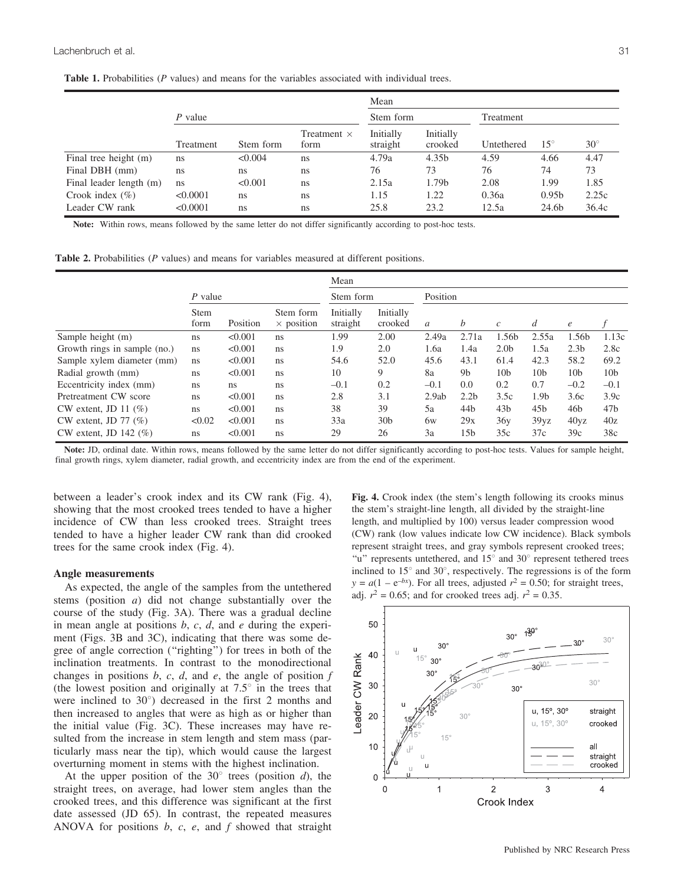|                         |           |           |                            | Mean                  |                      |            |                   |            |
|-------------------------|-----------|-----------|----------------------------|-----------------------|----------------------|------------|-------------------|------------|
|                         | P value   |           |                            | Stem form             |                      | Treatment  |                   |            |
|                         | Treatment | Stem form | Treatment $\times$<br>form | Initially<br>straight | Initially<br>crooked | Untethered | $15^{\circ}$      | $30^\circ$ |
| Final tree height (m)   | ns        | < 0.004   | ns                         | 4.79a                 | 4.35b                | 4.59       | 4.66              | 4.47       |
| Final DBH (mm)          | ns        | ns        | ns                         | 76                    | 73                   | 76         | 74                | 73         |
| Final leader length (m) | ns        | < 0.001   | ns                         | 2.15a                 | 1.79 <sub>b</sub>    | 2.08       | 1.99              | 1.85       |
| Crook index $(\%)$      | < 0.0001  | ns        | ns                         | 1.15                  | 1.22                 | 0.36a      | 0.95 <sub>b</sub> | 2.25c      |
| Leader CW rank          | < 0.0001  | ns        | ns                         | 25.8                  | 23.2                 | 12.5a      | 24.6b             | 36.4c      |

**Note:** Within rows, means followed by the same letter do not differ significantly according to post-hoc tests.

**Table 2.** Probabilities (*P* values) and means for variables measured at different positions.

|                              |                     |          |                                | Mean                  |                      |               |                  |                  |                 |                  |                 |
|------------------------------|---------------------|----------|--------------------------------|-----------------------|----------------------|---------------|------------------|------------------|-----------------|------------------|-----------------|
|                              | $P$ value           |          |                                | Stem form             |                      | Position      |                  |                  |                 |                  |                 |
|                              | <b>Stem</b><br>form | Position | Stem form<br>$\times$ position | Initially<br>straight | Initially<br>crooked | $\mathfrak a$ | h                | $\mathcal{C}$    | d               | $\epsilon$       |                 |
| Sample height (m)            | ns.                 | < 0.001  | ns                             | 1.99                  | 2.00                 | 2.49a         | 2.71a            | 1.56b            | 2.55a           | 1.56b            | 1.13c           |
| Growth rings in sample (no.) | ns.                 | < 0.001  | ns                             | 1.9                   | 2.0                  | 1.6a          | 1.4a             | 2.0 <sub>b</sub> | 1.5a            | 2.3 <sub>b</sub> | 2.8c            |
| Sample xylem diameter (mm)   | ns                  | < 0.001  | ns                             | 54.6                  | 52.0                 | 45.6          | 43.1             | 61.4             | 42.3            | 58.2             | 69.2            |
| Radial growth (mm)           | ns                  | < 0.001  | ns                             | 10                    | 9                    | 8a            | 9 <sub>b</sub>   | 10 <sub>b</sub>  | 10 <sub>b</sub> | 10 <sub>b</sub>  | 10 <sub>b</sub> |
| Eccentricity index (mm)      | ns                  | ns       | ns                             | $-0.1$                | 0.2                  | $-0.1$        | 0.0              | 0.2              | 0.7             | $-0.2$           | $-0.1$          |
| Pretreatment CW score        | ns.                 | < 0.001  | ns                             | 2.8                   | 3.1                  | 2.9ab         | 2.2 <sub>b</sub> | 3.5c             | 1.9b            | 3.6c             | 3.9c            |
| CW extent, JD 11 $(\%)$      | ns.                 | < 0.001  | ns                             | 38                    | 39                   | 5a            | 44 <sub>b</sub>  | 43 <sub>b</sub>  | 45 <sub>b</sub> | 46 <sub>b</sub>  | 47b             |
| CW extent, JD 77 $(\% )$     | < 0.02              | < 0.001  | ns                             | 33a                   | 30 <sub>b</sub>      | 6w            | 29x              | 36y              | 39yz            | 40yz             | 40z             |
| CW extent, JD 142 $(\%)$     | ns.                 | < 0.001  | ns                             | 29                    | 26                   | 3a            | 15b              | 35c              | 37c             | 39c              | 38c             |

**Note:** JD, ordinal date. Within rows, means followed by the same letter do not differ significantly according to post-hoc tests. Values for sample height, final growth rings, xylem diameter, radial growth, and eccentricity index are from the end of the experiment.

between a leader's crook index and its CW rank (Fig. 4), showing that the most crooked trees tended to have a higher incidence of CW than less crooked trees. Straight trees tended to have a higher leader CW rank than did crooked trees for the same crook index (Fig. 4).

#### **Angle measurements**

As expected, the angle of the samples from the untethered stems (position *a*) did not change substantially over the course of the study (Fig. 3A). There was a gradual decline in mean angle at positions *b*, *c*, *d*, and *e* during the experiment (Figs. 3B and 3C), indicating that there was some degree of angle correction (''righting'') for trees in both of the inclination treatments. In contrast to the monodirectional changes in positions *b*, *c*, *d*, and *e*, the angle of position *f* (the lowest position and originally at  $7.5^\circ$  in the trees that were inclined to  $30^{\circ}$ ) decreased in the first 2 months and then increased to angles that were as high as or higher than the initial value (Fig. 3C). These increases may have resulted from the increase in stem length and stem mass (particularly mass near the tip), which would cause the largest overturning moment in stems with the highest inclination.

At the upper position of the  $30^\circ$  trees (position *d*), the straight trees, on average, had lower stem angles than the crooked trees, and this difference was significant at the first date assessed (JD 65). In contrast, the repeated measures ANOVA for positions *b*, *c*, *e*, and *f* showed that straight **Fig. 4.** Crook index (the stem's length following its crooks minus the stem's straight-line length, all divided by the straight-line length, and multiplied by 100) versus leader compression wood (CW) rank (low values indicate low CW incidence). Black symbols represent straight trees, and gray symbols represent crooked trees; "u" represents untethered, and  $15^{\circ}$  and  $30^{\circ}$  represent tethered trees inclined to  $15^{\circ}$  and  $30^{\circ}$ , respectively. The regressions is of the form  $y = a(1 - e^{-bx})$ . For all trees, adjusted  $r^2 = 0.50$ ; for straight trees, adj.  $r^2 = 0.65$ ; and for crooked trees adj.  $r^2 = 0.35$ .

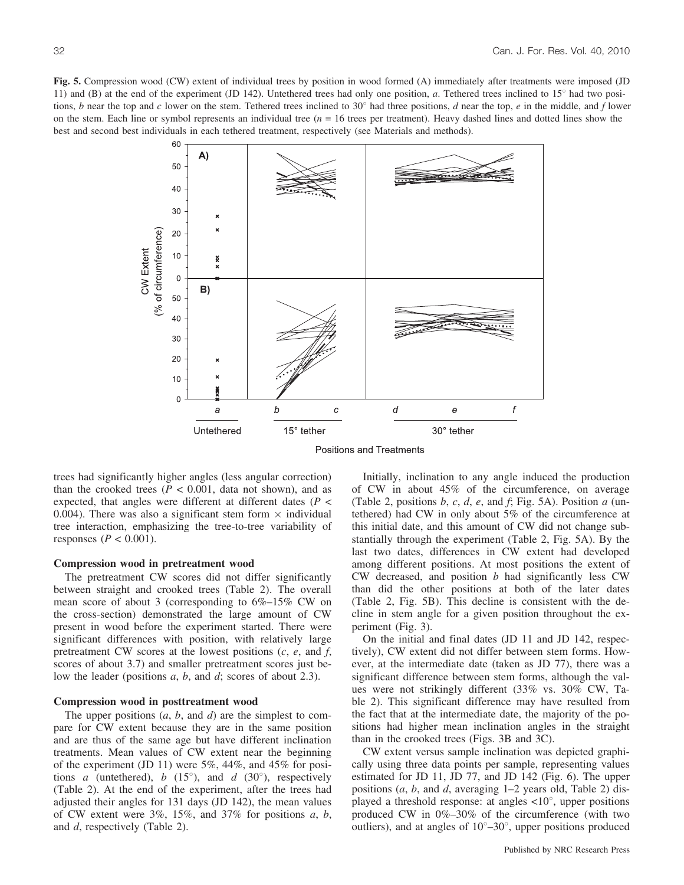**Fig. 5.** Compression wood (CW) extent of individual trees by position in wood formed (A) immediately after treatments were imposed (JD 11) and (B) at the end of the experiment (JD 142). Untethered trees had only one position,  $a$ . Tethered trees inclined to  $15^{\circ}$  had two positions, *b* near the top and *c* lower on the stem. Tethered trees inclined to 30 $^{\circ}$  had three positions, *d* near the top, *e* in the middle, and *f* lower on the stem. Each line or symbol represents an individual tree (*n* = 16 trees per treatment). Heavy dashed lines and dotted lines show the best and second best individuals in each tethered treatment, respectively (see Materials and methods).



Positions and Treatments

trees had significantly higher angles (less angular correction) than the crooked trees  $(P < 0.001$ , data not shown), and as expected, that angles were different at different dates (*P* < 0.004). There was also a significant stem form  $\times$  individual tree interaction, emphasizing the tree-to-tree variability of responses ( $P < 0.001$ ).

## **Compression wood in pretreatment wood**

The pretreatment CW scores did not differ significantly between straight and crooked trees (Table 2). The overall mean score of about 3 (corresponding to 6%–15% CW on the cross-section) demonstrated the large amount of CW present in wood before the experiment started. There were significant differences with position, with relatively large pretreatment CW scores at the lowest positions (*c*, *e*, and *f*, scores of about 3.7) and smaller pretreatment scores just below the leader (positions *a*, *b*, and *d*; scores of about 2.3).

#### **Compression wood in posttreatment wood**

The upper positions (*a*, *b*, and *d*) are the simplest to compare for CW extent because they are in the same position and are thus of the same age but have different inclination treatments. Mean values of CW extent near the beginning of the experiment (JD 11) were 5%, 44%, and 45% for positions *a* (untethered), *b* (15°), and *d* (30°), respectively (Table 2). At the end of the experiment, after the trees had adjusted their angles for 131 days (JD 142), the mean values of CW extent were 3%, 15%, and 37% for positions *a*, *b*, and *d*, respectively (Table 2).

Initially, inclination to any angle induced the production of CW in about 45% of the circumference, on average (Table 2, positions *b*, *c*, *d*, *e*, and *f*; Fig. 5A). Position *a* (untethered) had CW in only about 5% of the circumference at this initial date, and this amount of CW did not change substantially through the experiment (Table 2, Fig. 5A). By the last two dates, differences in CW extent had developed among different positions. At most positions the extent of CW decreased, and position *b* had significantly less CW than did the other positions at both of the later dates (Table 2, Fig. 5B). This decline is consistent with the decline in stem angle for a given position throughout the experiment (Fig. 3).

On the initial and final dates (JD 11 and JD 142, respectively), CW extent did not differ between stem forms. However, at the intermediate date (taken as JD 77), there was a significant difference between stem forms, although the values were not strikingly different (33% vs. 30% CW, Table 2). This significant difference may have resulted from the fact that at the intermediate date, the majority of the positions had higher mean inclination angles in the straight than in the crooked trees (Figs. 3B and 3C).

CW extent versus sample inclination was depicted graphically using three data points per sample, representing values estimated for JD 11, JD 77, and JD 142 (Fig. 6). The upper positions (*a*, *b*, and *d*, averaging 1–2 years old, Table 2) displayed a threshold response: at angles  $\langle 10^\circ$ , upper positions produced CW in 0%–30% of the circumference (with two outliers), and at angles of  $10^{\circ}-30^{\circ}$ , upper positions produced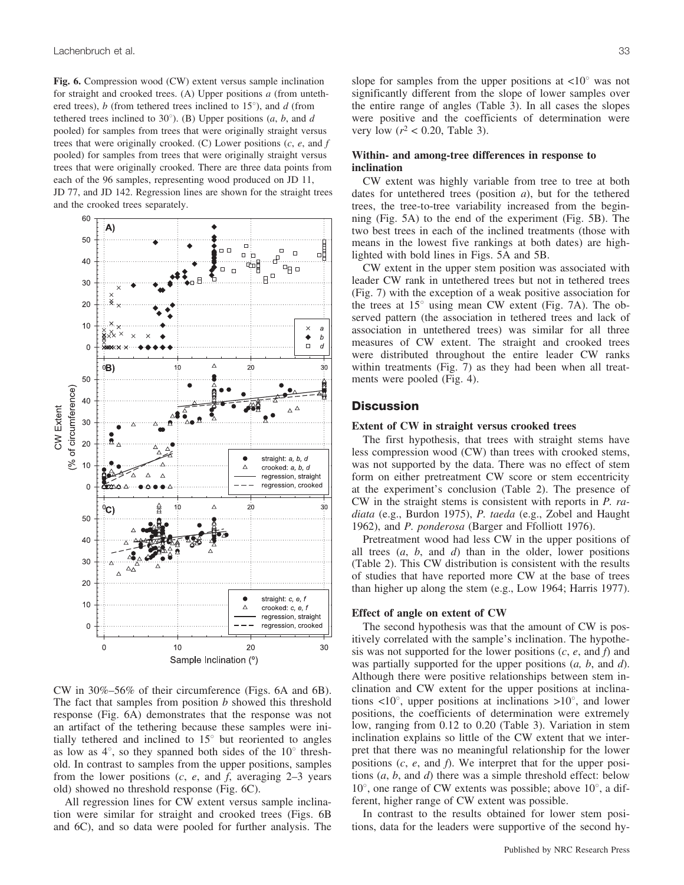**Fig. 6.** Compression wood (CW) extent versus sample inclination for straight and crooked trees. (A) Upper positions *a* (from untethered trees),  $b$  (from tethered trees inclined to  $15^{\circ}$ ), and  $d$  (from tethered trees inclined to 30 $^{\circ}$ ). (B) Upper positions (*a*, *b*, and *d* pooled) for samples from trees that were originally straight versus trees that were originally crooked. (C) Lower positions (*c*, *e*, and *f* pooled) for samples from trees that were originally straight versus trees that were originally crooked. There are three data points from each of the 96 samples, representing wood produced on JD 11, JD 77, and JD 142. Regression lines are shown for the straight trees



CW in 30%–56% of their circumference (Figs. 6A and 6B). The fact that samples from position *b* showed this threshold response (Fig. 6A) demonstrates that the response was not an artifact of the tethering because these samples were initially tethered and inclined to  $15^{\circ}$  but reoriented to angles as low as  $4^{\circ}$ , so they spanned both sides of the  $10^{\circ}$  threshold. In contrast to samples from the upper positions, samples from the lower positions (*c*, *e*, and *f*, averaging 2–3 years old) showed no threshold response (Fig. 6C).

All regression lines for CW extent versus sample inclination were similar for straight and crooked trees (Figs. 6B and 6C), and so data were pooled for further analysis. The slope for samples from the upper positions at  $\langle 10^\circ$  was not significantly different from the slope of lower samples over the entire range of angles (Table 3). In all cases the slopes were positive and the coefficients of determination were very low  $(r^2 < 0.20$ , Table 3).

#### **Within- and among-tree differences in response to inclination**

CW extent was highly variable from tree to tree at both dates for untethered trees (position *a*), but for the tethered trees, the tree-to-tree variability increased from the beginning (Fig. 5A) to the end of the experiment (Fig. 5B). The two best trees in each of the inclined treatments (those with means in the lowest five rankings at both dates) are highlighted with bold lines in Figs. 5A and 5B.

CW extent in the upper stem position was associated with leader CW rank in untethered trees but not in tethered trees (Fig. 7) with the exception of a weak positive association for the trees at  $15^{\circ}$  using mean CW extent (Fig. 7A). The observed pattern (the association in tethered trees and lack of association in untethered trees) was similar for all three measures of CW extent. The straight and crooked trees were distributed throughout the entire leader CW ranks within treatments (Fig. 7) as they had been when all treatments were pooled (Fig. 4).

## **Discussion**

#### **Extent of CW in straight versus crooked trees**

The first hypothesis, that trees with straight stems have less compression wood (CW) than trees with crooked stems, was not supported by the data. There was no effect of stem form on either pretreatment CW score or stem eccentricity at the experiment's conclusion (Table 2). The presence of CW in the straight stems is consistent with reports in *P. radiata* (e.g., Burdon 1975), *P. taeda* (e.g., Zobel and Haught 1962), and *P. ponderosa* (Barger and Ffolliott 1976).

Pretreatment wood had less CW in the upper positions of all trees (*a*, *b*, and *d*) than in the older, lower positions (Table 2). This CW distribution is consistent with the results of studies that have reported more CW at the base of trees than higher up along the stem (e.g., Low 1964; Harris 1977).

## **Effect of angle on extent of CW**

The second hypothesis was that the amount of CW is positively correlated with the sample's inclination. The hypothesis was not supported for the lower positions (*c*, *e*, and *f*) and was partially supported for the upper positions (*a, b*, and *d*). Although there were positive relationships between stem inclination and CW extent for the upper positions at inclinations  $\langle 10^\circ, \text{ upper positions at inclinations } > 10^\circ, \text{ and lower}$ positions, the coefficients of determination were extremely low, ranging from 0.12 to 0.20 (Table 3). Variation in stem inclination explains so little of the CW extent that we interpret that there was no meaningful relationship for the lower positions (*c*, *e*, and *f*). We interpret that for the upper positions (*a*, *b*, and *d*) there was a simple threshold effect: below  $10^{\circ}$ , one range of CW extents was possible; above  $10^{\circ}$ , a different, higher range of CW extent was possible.

In contrast to the results obtained for lower stem positions, data for the leaders were supportive of the second hy-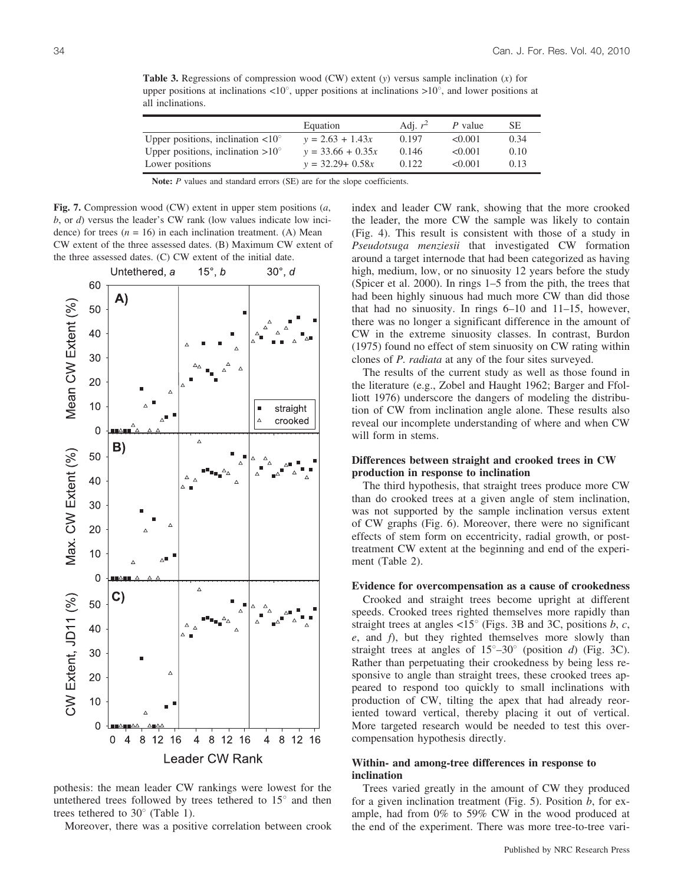**Table 3.** Regressions of compression wood (CW) extent (*y*) versus sample inclination (*x*) for upper positions at inclinations  $\langle 10^\circ, \text{ upper positions at inclinations } \rangle 10^\circ$ , and lower positions at all inclinations.

|                                                 | Equation            | Adj. $r^2$ | $P$ value | SЕ   |
|-------------------------------------------------|---------------------|------------|-----------|------|
| Upper positions, inclination $\langle 10^\circ$ | $y = 2.63 + 1.43x$  | 0.197      | < 0.001   | 0.34 |
| Upper positions, inclination $>10^\circ$        | $y = 33.66 + 0.35x$ | 0.146      | < 0.001   | 0.10 |
| Lower positions                                 | $v = 32.29 + 0.58x$ | 0.122      | < 0.001   | 0.13 |

**Note:** *P* values and standard errors (SE) are for the slope coefficients.

**Fig. 7.** Compression wood (CW) extent in upper stem positions (*a*, *b*, or *d*) versus the leader's CW rank (low values indicate low incidence) for trees  $(n = 16)$  in each inclination treatment. (A) Mean CW extent of the three assessed dates. (B) Maximum CW extent of the three assessed dates. (C) CW extent of the initial date.



pothesis: the mean leader CW rankings were lowest for the untethered trees followed by trees tethered to  $15^{\circ}$  and then trees tethered to  $30^{\circ}$  (Table 1).

Moreover, there was a positive correlation between crook

index and leader CW rank, showing that the more crooked the leader, the more CW the sample was likely to contain (Fig. 4). This result is consistent with those of a study in *Pseudotsuga menziesii* that investigated CW formation around a target internode that had been categorized as having high, medium, low, or no sinuosity 12 years before the study (Spicer et al. 2000). In rings 1–5 from the pith, the trees that had been highly sinuous had much more CW than did those that had no sinuosity. In rings 6–10 and 11–15, however, there was no longer a significant difference in the amount of CW in the extreme sinuosity classes. In contrast, Burdon (1975) found no effect of stem sinuosity on CW rating within clones of *P. radiata* at any of the four sites surveyed.

The results of the current study as well as those found in the literature (e.g., Zobel and Haught 1962; Barger and Ffolliott 1976) underscore the dangers of modeling the distribution of CW from inclination angle alone. These results also reveal our incomplete understanding of where and when CW will form in stems.

## **Differences between straight and crooked trees in CW production in response to inclination**

The third hypothesis, that straight trees produce more CW than do crooked trees at a given angle of stem inclination, was not supported by the sample inclination versus extent of CW graphs (Fig. 6). Moreover, there were no significant effects of stem form on eccentricity, radial growth, or posttreatment CW extent at the beginning and end of the experiment (Table 2).

#### **Evidence for overcompensation as a cause of crookedness**

Crooked and straight trees become upright at different speeds. Crooked trees righted themselves more rapidly than straight trees at angles  $\langle 15^\circ$  (Figs. 3B and 3C, positions *b*, *c*, *e*, and *f*), but they righted themselves more slowly than straight trees at angles of  $15^{\circ}-30^{\circ}$  (position *d*) (Fig. 3C). Rather than perpetuating their crookedness by being less responsive to angle than straight trees, these crooked trees appeared to respond too quickly to small inclinations with production of CW, tilting the apex that had already reoriented toward vertical, thereby placing it out of vertical. More targeted research would be needed to test this overcompensation hypothesis directly.

## **Within- and among-tree differences in response to inclination**

Trees varied greatly in the amount of CW they produced for a given inclination treatment (Fig. 5). Position *b*, for example, had from 0% to 59% CW in the wood produced at the end of the experiment. There was more tree-to-tree vari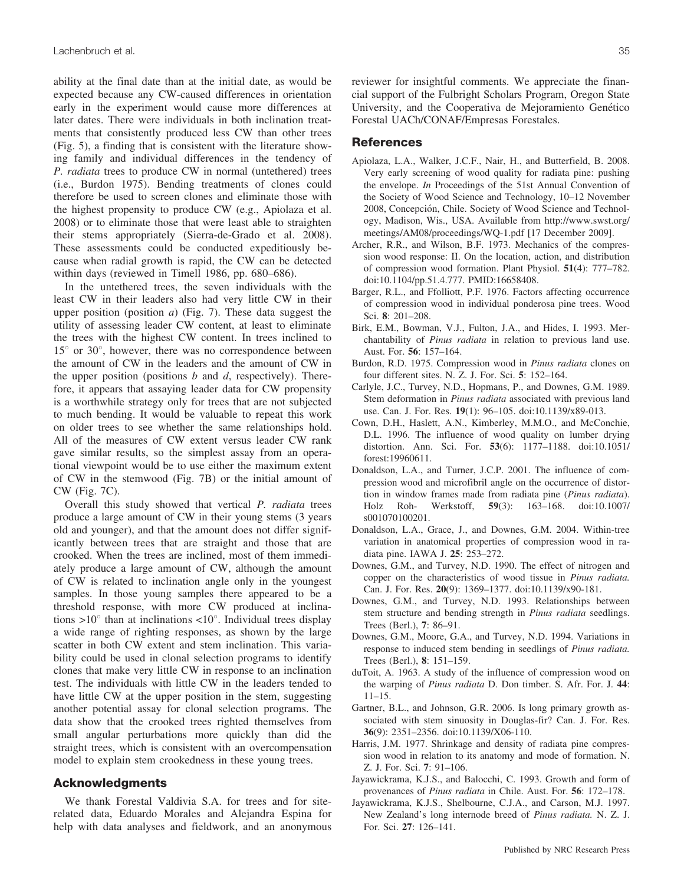ability at the final date than at the initial date, as would be expected because any CW-caused differences in orientation early in the experiment would cause more differences at later dates. There were individuals in both inclination treatments that consistently produced less CW than other trees (Fig. 5), a finding that is consistent with the literature showing family and individual differences in the tendency of *P. radiata* trees to produce CW in normal (untethered) trees (i.e., Burdon 1975). Bending treatments of clones could therefore be used to screen clones and eliminate those with the highest propensity to produce CW (e.g., Apiolaza et al. 2008) or to eliminate those that were least able to straighten their stems appropriately (Sierra-de-Grado et al. 2008). These assessments could be conducted expeditiously because when radial growth is rapid, the CW can be detected within days (reviewed in Timell 1986, pp. 680–686).

In the untethered trees, the seven individuals with the least CW in their leaders also had very little CW in their upper position (position *a*) (Fig. 7). These data suggest the utility of assessing leader CW content, at least to eliminate the trees with the highest CW content. In trees inclined to  $15^{\circ}$  or 30 $^{\circ}$ , however, there was no correspondence between the amount of CW in the leaders and the amount of CW in the upper position (positions *b* and *d*, respectively). Therefore, it appears that assaying leader data for CW propensity is a worthwhile strategy only for trees that are not subjected to much bending. It would be valuable to repeat this work on older trees to see whether the same relationships hold. All of the measures of CW extent versus leader CW rank gave similar results, so the simplest assay from an operational viewpoint would be to use either the maximum extent of CW in the stemwood (Fig. 7B) or the initial amount of CW (Fig. 7C).

Overall this study showed that vertical *P. radiata* trees produce a large amount of CW in their young stems (3 years old and younger), and that the amount does not differ significantly between trees that are straight and those that are crooked. When the trees are inclined, most of them immediately produce a large amount of CW, although the amount of CW is related to inclination angle only in the youngest samples. In those young samples there appeared to be a threshold response, with more CW produced at inclinations  $>10^\circ$  than at inclinations  $<10^\circ$ . Individual trees display a wide range of righting responses, as shown by the large scatter in both CW extent and stem inclination. This variability could be used in clonal selection programs to identify clones that make very little CW in response to an inclination test. The individuals with little CW in the leaders tended to have little CW at the upper position in the stem, suggesting another potential assay for clonal selection programs. The data show that the crooked trees righted themselves from small angular perturbations more quickly than did the straight trees, which is consistent with an overcompensation model to explain stem crookedness in these young trees.

# **Acknowledgments**

We thank Forestal Valdivia S.A. for trees and for siterelated data, Eduardo Morales and Alejandra Espina for help with data analyses and fieldwork, and an anonymous

#### **References**

- Apiolaza, L.A., Walker, J.C.F., Nair, H., and Butterfield, B. 2008. Very early screening of wood quality for radiata pine: pushing the envelope. *In* Proceedings of the 51st Annual Convention of the Society of Wood Science and Technology, 10–12 November 2008, Concepción, Chile. Society of Wood Science and Technology, Madison, Wis., USA. Available from http://www.swst.org/ meetings/AM08/proceedings/WQ-1.pdf [17 December 2009].
- Archer, R.R., and Wilson, B.F. 1973. Mechanics of the compression wood response: II. On the location, action, and distribution of compression wood formation. Plant Physiol. **51**(4): 777–782. doi:10.1104/pp.51.4.777. PMID:16658408.
- Barger, R.L., and Ffolliott, P.F. 1976. Factors affecting occurrence of compression wood in individual ponderosa pine trees. Wood Sci. **8**: 201–208.
- Birk, E.M., Bowman, V.J., Fulton, J.A., and Hides, I. 1993. Merchantability of *Pinus radiata* in relation to previous land use. Aust. For. **56**: 157–164.
- Burdon, R.D. 1975. Compression wood in *Pinus radiata* clones on four different sites. N. Z. J. For. Sci. **5**: 152–164.
- Carlyle, J.C., Turvey, N.D., Hopmans, P., and Downes, G.M. 1989. Stem deformation in *Pinus radiata* associated with previous land use. Can. J. For. Res. **19**(1): 96–105. doi:10.1139/x89-013.
- Cown, D.H., Haslett, A.N., Kimberley, M.M.O., and McConchie, D.L. 1996. The influence of wood quality on lumber drying distortion. Ann. Sci. For. **53**(6): 1177–1188. doi:10.1051/ forest:19960611.
- Donaldson, L.A., and Turner, J.C.P. 2001. The influence of compression wood and microfibril angle on the occurrence of distortion in window frames made from radiata pine (*Pinus radiata*). Holz Roh- Werkstoff, **59**(3): 163–168. doi:10.1007/ s001070100201.
- Donaldson, L.A., Grace, J., and Downes, G.M. 2004. Within-tree variation in anatomical properties of compression wood in radiata pine. IAWA J. **25**: 253–272.
- Downes, G.M., and Turvey, N.D. 1990. The effect of nitrogen and copper on the characteristics of wood tissue in *Pinus radiata.* Can. J. For. Res. **20**(9): 1369–1377. doi:10.1139/x90-181.
- Downes, G.M., and Turvey, N.D. 1993. Relationships between stem structure and bending strength in *Pinus radiata* seedlings. Trees (Berl.), **7**: 86–91.
- Downes, G.M., Moore, G.A., and Turvey, N.D. 1994. Variations in response to induced stem bending in seedlings of *Pinus radiata.* Trees (Berl.), **8**: 151–159.
- duToit, A. 1963. A study of the influence of compression wood on the warping of *Pinus radiata* D. Don timber. S. Afr. For. J. **44**: 11–15.
- Gartner, B.L., and Johnson, G.R. 2006. Is long primary growth associated with stem sinuosity in Douglas-fir? Can. J. For. Res. **36**(9): 2351–2356. doi:10.1139/X06-110.
- Harris, J.M. 1977. Shrinkage and density of radiata pine compression wood in relation to its anatomy and mode of formation. N. Z. J. For. Sci. **7**: 91–106.
- Jayawickrama, K.J.S., and Balocchi, C. 1993. Growth and form of provenances of *Pinus radiata* in Chile. Aust. For. **56**: 172–178.
- Jayawickrama, K.J.S., Shelbourne, C.J.A., and Carson, M.J. 1997. New Zealand's long internode breed of *Pinus radiata.* N. Z. J. For. Sci. **27**: 126–141.